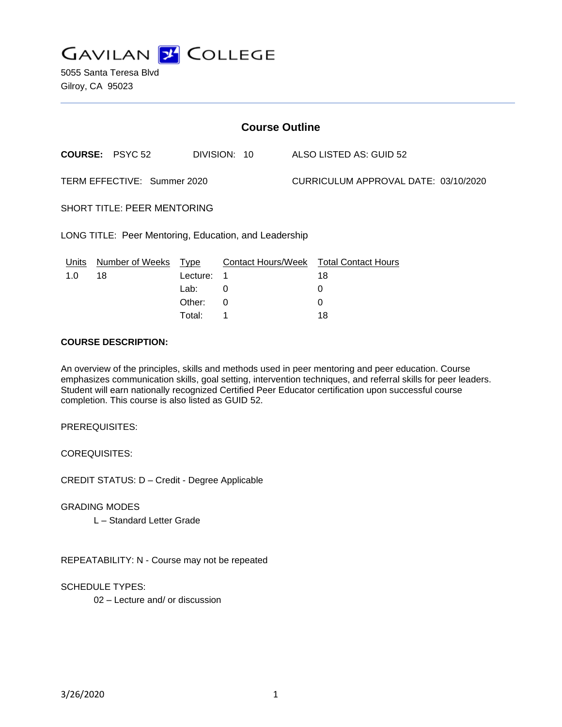**GAVILAN J COLLEGE** 

5055 Santa Teresa Blvd Gilroy, CA 95023

| <b>Course Outline</b>                                 |                        |          |                           |                                      |                            |
|-------------------------------------------------------|------------------------|----------|---------------------------|--------------------------------------|----------------------------|
|                                                       | <b>COURSE: PSYC 52</b> |          | DIVISION: 10              |                                      | ALSO LISTED AS: GUID 52    |
| TERM EFFECTIVE: Summer 2020                           |                        |          |                           | CURRICULUM APPROVAL DATE: 03/10/2020 |                            |
| <b>SHORT TITLE: PEER MENTORING</b>                    |                        |          |                           |                                      |                            |
| LONG TITLE: Peer Mentoring, Education, and Leadership |                        |          |                           |                                      |                            |
| Units                                                 | Number of Weeks        | Type     | <b>Contact Hours/Week</b> |                                      | <b>Total Contact Hours</b> |
| 1.0                                                   | 18                     | Lecture: | 1                         |                                      | 18                         |
|                                                       |                        | Lab:     | 0                         |                                      | 0                          |
|                                                       |                        | Other:   | 0                         |                                      | 0                          |
|                                                       |                        | Total⊤   | 1                         |                                      | 18                         |

#### **COURSE DESCRIPTION:**

An overview of the principles, skills and methods used in peer mentoring and peer education. Course emphasizes communication skills, goal setting, intervention techniques, and referral skills for peer leaders. Student will earn nationally recognized Certified Peer Educator certification upon successful course completion. This course is also listed as GUID 52.

PREREQUISITES:

COREQUISITES:

CREDIT STATUS: D – Credit - Degree Applicable

GRADING MODES

L – Standard Letter Grade

REPEATABILITY: N - Course may not be repeated

SCHEDULE TYPES:

02 – Lecture and/ or discussion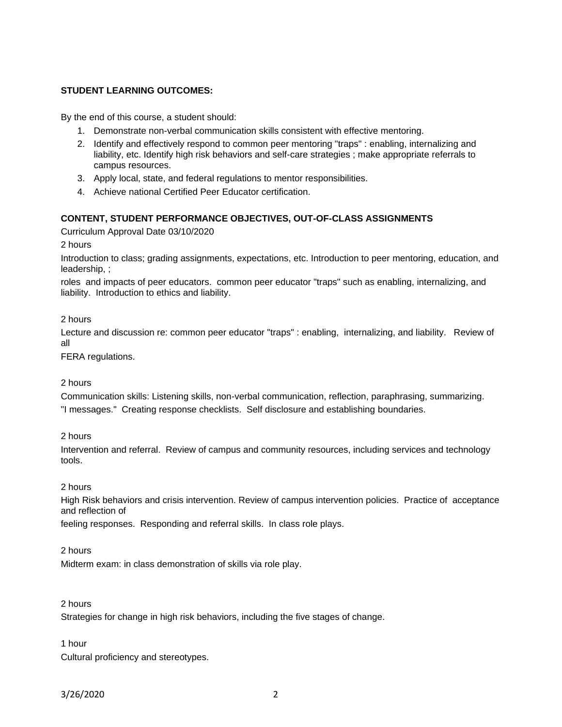# **STUDENT LEARNING OUTCOMES:**

By the end of this course, a student should:

- 1. Demonstrate non-verbal communication skills consistent with effective mentoring.
- 2. Identify and effectively respond to common peer mentoring "traps" : enabling, internalizing and liability, etc. Identify high risk behaviors and self-care strategies ; make appropriate referrals to campus resources.
- 3. Apply local, state, and federal regulations to mentor responsibilities.
- 4. Achieve national Certified Peer Educator certification.

## **CONTENT, STUDENT PERFORMANCE OBJECTIVES, OUT-OF-CLASS ASSIGNMENTS**

Curriculum Approval Date 03/10/2020

2 hours

Introduction to class; grading assignments, expectations, etc. Introduction to peer mentoring, education, and leadership, ;

roles and impacts of peer educators. common peer educator "traps" such as enabling, internalizing, and liability. Introduction to ethics and liability.

## 2 hours

Lecture and discussion re: common peer educator "traps" : enabling, internalizing, and liability. Review of all

FERA regulations.

#### 2 hours

Communication skills: Listening skills, non-verbal communication, reflection, paraphrasing, summarizing. "I messages." Creating response checklists. Self disclosure and establishing boundaries.

#### 2 hours

Intervention and referral. Review of campus and community resources, including services and technology tools.

#### 2 hours

High Risk behaviors and crisis intervention. Review of campus intervention policies. Practice of acceptance and reflection of

feeling responses. Responding and referral skills. In class role plays.

#### 2 hours

Midterm exam: in class demonstration of skills via role play.

### 2 hours

Strategies for change in high risk behaviors, including the five stages of change.

#### 1 hour

Cultural proficiency and stereotypes.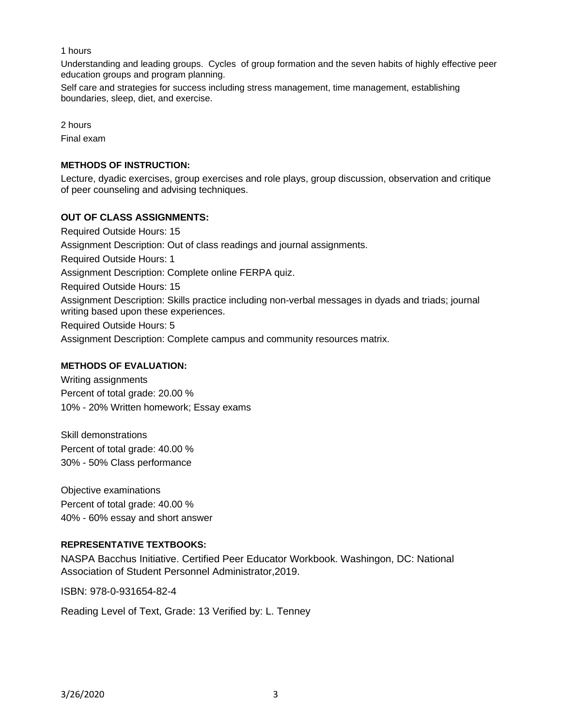### 1 hours

Understanding and leading groups. Cycles of group formation and the seven habits of highly effective peer education groups and program planning.

Self care and strategies for success including stress management, time management, establishing boundaries, sleep, diet, and exercise.

2 hours Final exam

# **METHODS OF INSTRUCTION:**

Lecture, dyadic exercises, group exercises and role plays, group discussion, observation and critique of peer counseling and advising techniques.

# **OUT OF CLASS ASSIGNMENTS:**

Required Outside Hours: 15 Assignment Description: Out of class readings and journal assignments. Required Outside Hours: 1 Assignment Description: Complete online FERPA quiz. Required Outside Hours: 15 Assignment Description: Skills practice including non-verbal messages in dyads and triads; journal writing based upon these experiences. Required Outside Hours: 5 Assignment Description: Complete campus and community resources matrix.

## **METHODS OF EVALUATION:**

Writing assignments Percent of total grade: 20.00 % 10% - 20% Written homework; Essay exams

Skill demonstrations Percent of total grade: 40.00 % 30% - 50% Class performance

Objective examinations Percent of total grade: 40.00 % 40% - 60% essay and short answer

## **REPRESENTATIVE TEXTBOOKS:**

NASPA Bacchus Initiative. Certified Peer Educator Workbook. Washingon, DC: National Association of Student Personnel Administrator,2019.

ISBN: 978-0-931654-82-4

Reading Level of Text, Grade: 13 Verified by: L. Tenney